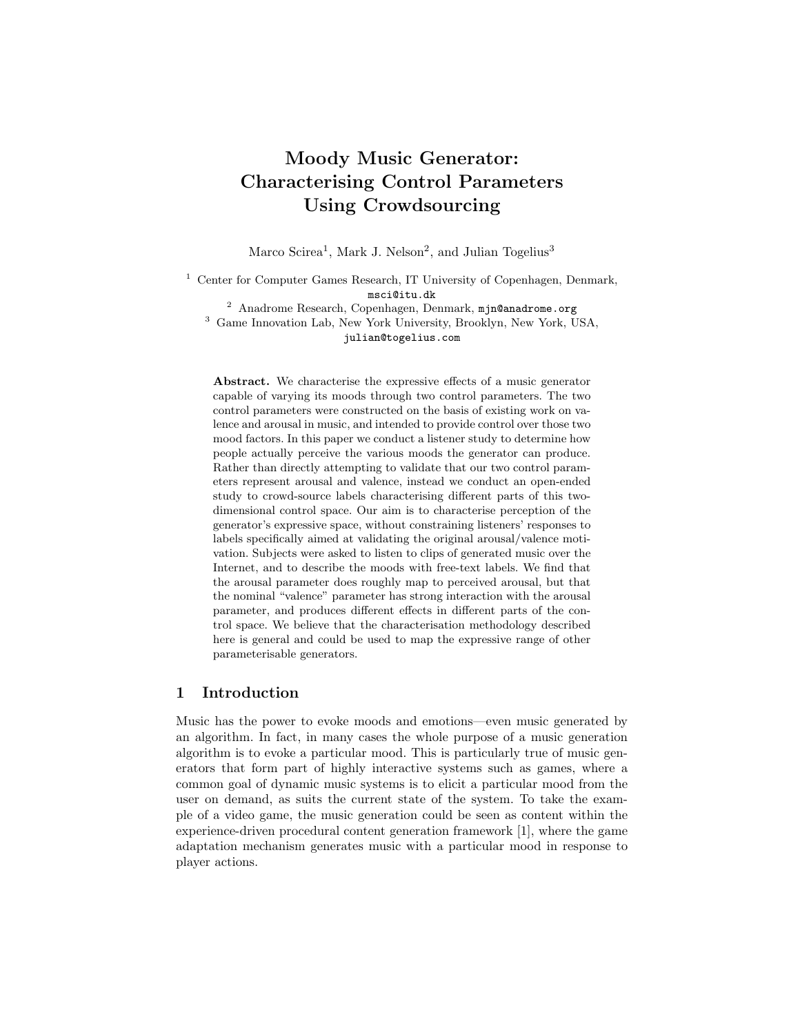# Moody Music Generator: Characterising Control Parameters Using Crowdsourcing

Marco Scirea<sup>1</sup>, Mark J. Nelson<sup>2</sup>, and Julian Togelius<sup>3</sup>

<sup>1</sup> Center for Computer Games Research, IT University of Copenhagen, Denmark, msci@itu.dk

<sup>2</sup> Anadrome Research, Copenhagen, Denmark, mjn@anadrome.org

<sup>3</sup> Game Innovation Lab, New York University, Brooklyn, New York, USA, julian@togelius.com

Abstract. We characterise the expressive effects of a music generator capable of varying its moods through two control parameters. The two control parameters were constructed on the basis of existing work on valence and arousal in music, and intended to provide control over those two mood factors. In this paper we conduct a listener study to determine how people actually perceive the various moods the generator can produce. Rather than directly attempting to validate that our two control parameters represent arousal and valence, instead we conduct an open-ended study to crowd-source labels characterising different parts of this twodimensional control space. Our aim is to characterise perception of the generator's expressive space, without constraining listeners' responses to labels specifically aimed at validating the original arousal/valence motivation. Subjects were asked to listen to clips of generated music over the Internet, and to describe the moods with free-text labels. We find that the arousal parameter does roughly map to perceived arousal, but that the nominal "valence" parameter has strong interaction with the arousal parameter, and produces different effects in different parts of the control space. We believe that the characterisation methodology described here is general and could be used to map the expressive range of other parameterisable generators.

## 1 Introduction

Music has the power to evoke moods and emotions—even music generated by an algorithm. In fact, in many cases the whole purpose of a music generation algorithm is to evoke a particular mood. This is particularly true of music generators that form part of highly interactive systems such as games, where a common goal of dynamic music systems is to elicit a particular mood from the user on demand, as suits the current state of the system. To take the example of a video game, the music generation could be seen as content within the experience-driven procedural content generation framework [1], where the game adaptation mechanism generates music with a particular mood in response to player actions.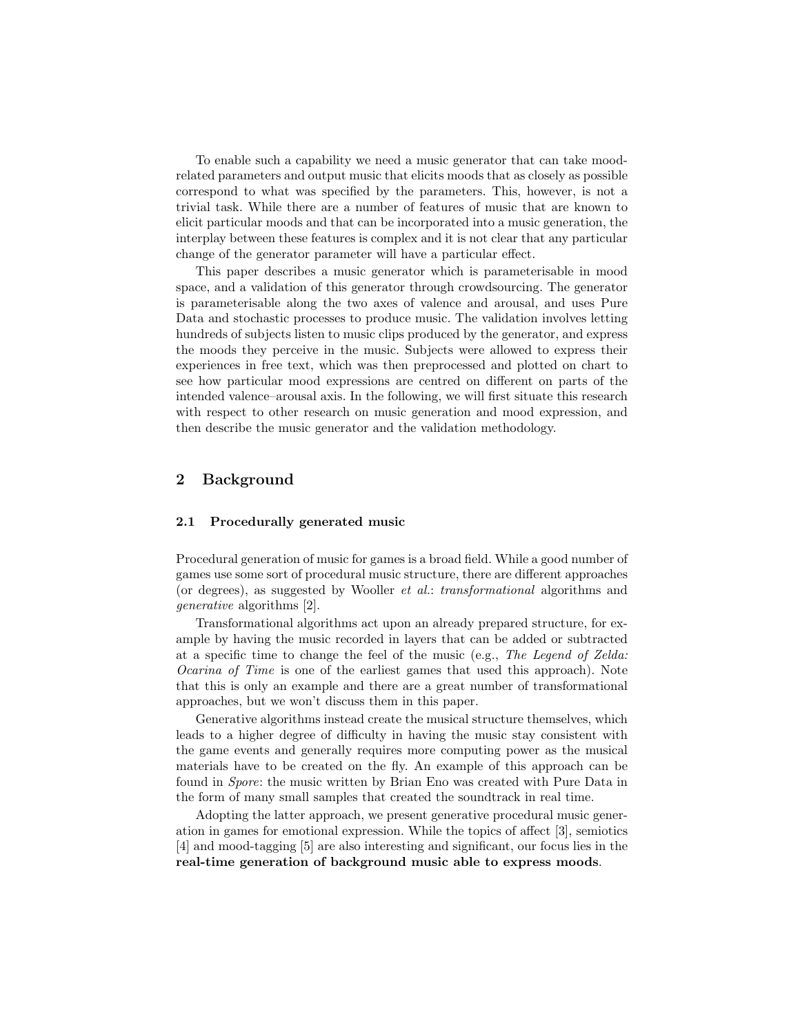To enable such a capability we need a music generator that can take moodrelated parameters and output music that elicits moods that as closely as possible correspond to what was specified by the parameters. This, however, is not a trivial task. While there are a number of features of music that are known to elicit particular moods and that can be incorporated into a music generation, the interplay between these features is complex and it is not clear that any particular change of the generator parameter will have a particular effect.

This paper describes a music generator which is parameterisable in mood space, and a validation of this generator through crowdsourcing. The generator is parameterisable along the two axes of valence and arousal, and uses Pure Data and stochastic processes to produce music. The validation involves letting hundreds of subjects listen to music clips produced by the generator, and express the moods they perceive in the music. Subjects were allowed to express their experiences in free text, which was then preprocessed and plotted on chart to see how particular mood expressions are centred on different on parts of the intended valence–arousal axis. In the following, we will first situate this research with respect to other research on music generation and mood expression, and then describe the music generator and the validation methodology.

# 2 Background

#### 2.1 Procedurally generated music

Procedural generation of music for games is a broad field. While a good number of games use some sort of procedural music structure, there are different approaches (or degrees), as suggested by Wooller et al.: transformational algorithms and generative algorithms [2].

Transformational algorithms act upon an already prepared structure, for example by having the music recorded in layers that can be added or subtracted at a specific time to change the feel of the music (e.g., The Legend of Zelda: Ocarina of Time is one of the earliest games that used this approach). Note that this is only an example and there are a great number of transformational approaches, but we won't discuss them in this paper.

Generative algorithms instead create the musical structure themselves, which leads to a higher degree of difficulty in having the music stay consistent with the game events and generally requires more computing power as the musical materials have to be created on the fly. An example of this approach can be found in Spore: the music written by Brian Eno was created with Pure Data in the form of many small samples that created the soundtrack in real time.

Adopting the latter approach, we present generative procedural music generation in games for emotional expression. While the topics of affect [3], semiotics [4] and mood-tagging [5] are also interesting and significant, our focus lies in the real-time generation of background music able to express moods.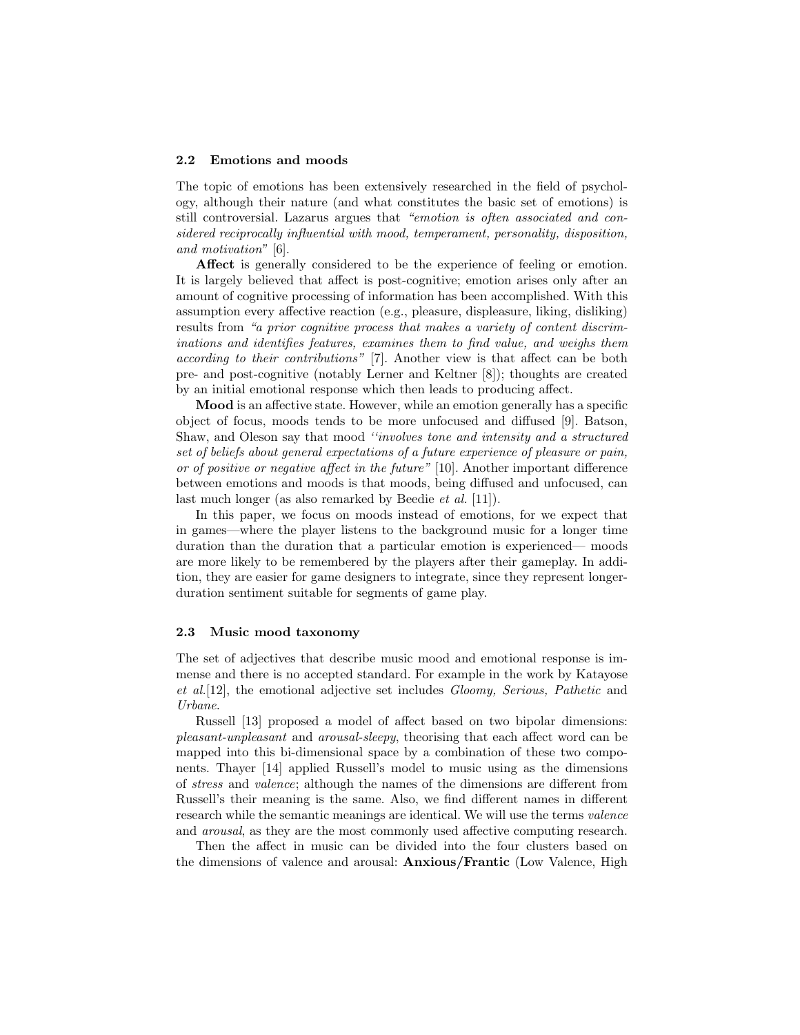#### 2.2 Emotions and moods

The topic of emotions has been extensively researched in the field of psychology, although their nature (and what constitutes the basic set of emotions) is still controversial. Lazarus argues that "emotion is often associated and considered reciprocally influential with mood, temperament, personality, disposition, and motivation" [6].

Affect is generally considered to be the experience of feeling or emotion. It is largely believed that affect is post-cognitive; emotion arises only after an amount of cognitive processing of information has been accomplished. With this assumption every affective reaction (e.g., pleasure, displeasure, liking, disliking) results from "a prior cognitive process that makes a variety of content discriminations and identifies features, examines them to find value, and weighs them according to their contributions" [7]. Another view is that affect can be both pre- and post-cognitive (notably Lerner and Keltner [8]); thoughts are created by an initial emotional response which then leads to producing affect.

Mood is an affective state. However, while an emotion generally has a specific object of focus, moods tends to be more unfocused and diffused [9]. Batson, Shaw, and Oleson say that mood ''involves tone and intensity and a structured set of beliefs about general expectations of a future experience of pleasure or pain, or of positive or negative affect in the future" [10]. Another important difference between emotions and moods is that moods, being diffused and unfocused, can last much longer (as also remarked by Beedie *et al.* [11]).

In this paper, we focus on moods instead of emotions, for we expect that in games—where the player listens to the background music for a longer time duration than the duration that a particular emotion is experienced— moods are more likely to be remembered by the players after their gameplay. In addition, they are easier for game designers to integrate, since they represent longerduration sentiment suitable for segments of game play.

#### 2.3 Music mood taxonomy

The set of adjectives that describe music mood and emotional response is immense and there is no accepted standard. For example in the work by Katayose et al.[12], the emotional adjective set includes Gloomy, Serious, Pathetic and Urbane.

Russell [13] proposed a model of affect based on two bipolar dimensions: pleasant-unpleasant and arousal-sleepy, theorising that each affect word can be mapped into this bi-dimensional space by a combination of these two components. Thayer [14] applied Russell's model to music using as the dimensions of stress and valence; although the names of the dimensions are different from Russell's their meaning is the same. Also, we find different names in different research while the semantic meanings are identical. We will use the terms valence and arousal, as they are the most commonly used affective computing research.

Then the affect in music can be divided into the four clusters based on the dimensions of valence and arousal: Anxious/Frantic (Low Valence, High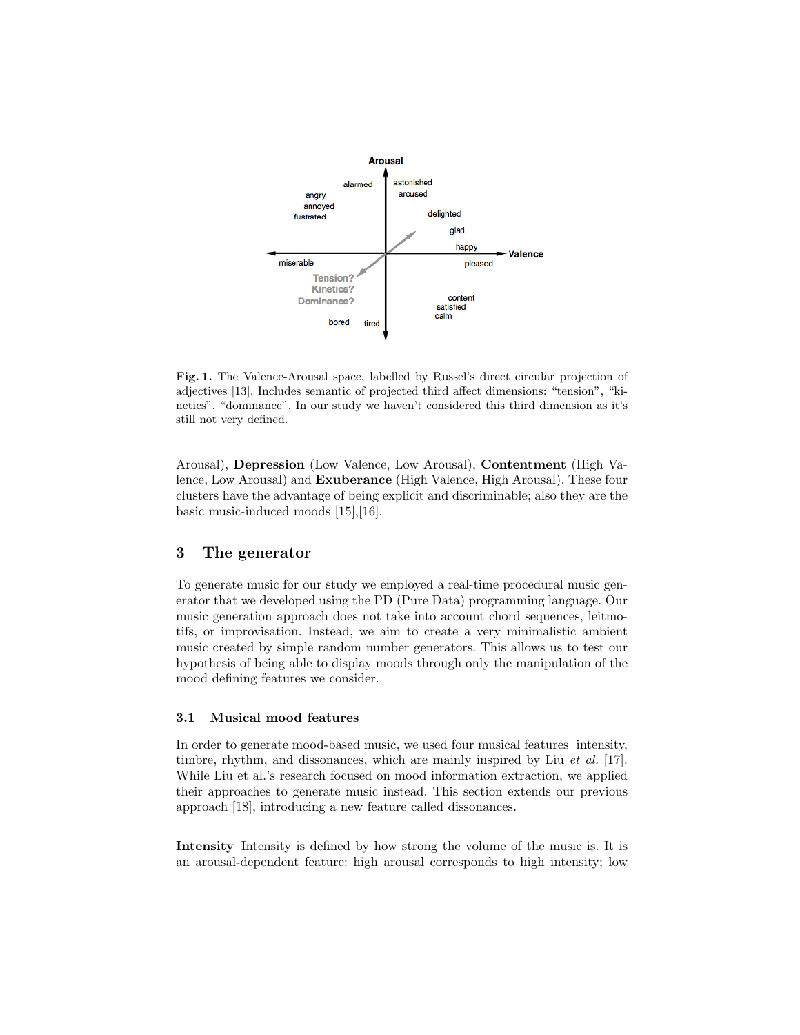

Fig. 1. The Valence-Arousal space, labelled by Russel's direct circular projection of adjectives [13]. Includes semantic of projected third affect dimensions: "tension", "kinetics", "dominance". In our study we haven't considered this third dimension as it's still not very defined.

Arousal), Depression (Low Valence, Low Arousal), Contentment (High Valence, Low Arousal) and Exuberance (High Valence, High Arousal). These four clusters have the advantage of being explicit and discriminable; also they are the basic music-induced moods [15],[16].

# 3 The generator

To generate music for our study we employed a real-time procedural music generator that we developed using the PD (Pure Data) programming language. Our music generation approach does not take into account chord sequences, leitmotifs, or improvisation. Instead, we aim to create a very minimalistic ambient music created by simple random number generators. This allows us to test our hypothesis of being able to display moods through only the manipulation of the mood defining features we consider.

#### 3.1 Musical mood features

In order to generate mood-based music, we used four musical features intensity, timbre, rhythm, and dissonances, which are mainly inspired by Liu et al. [17]. While Liu et al.'s research focused on mood information extraction, we applied their approaches to generate music instead. This section extends our previous approach [18], introducing a new feature called dissonances.

Intensity Intensity is defined by how strong the volume of the music is. It is an arousal-dependent feature: high arousal corresponds to high intensity; low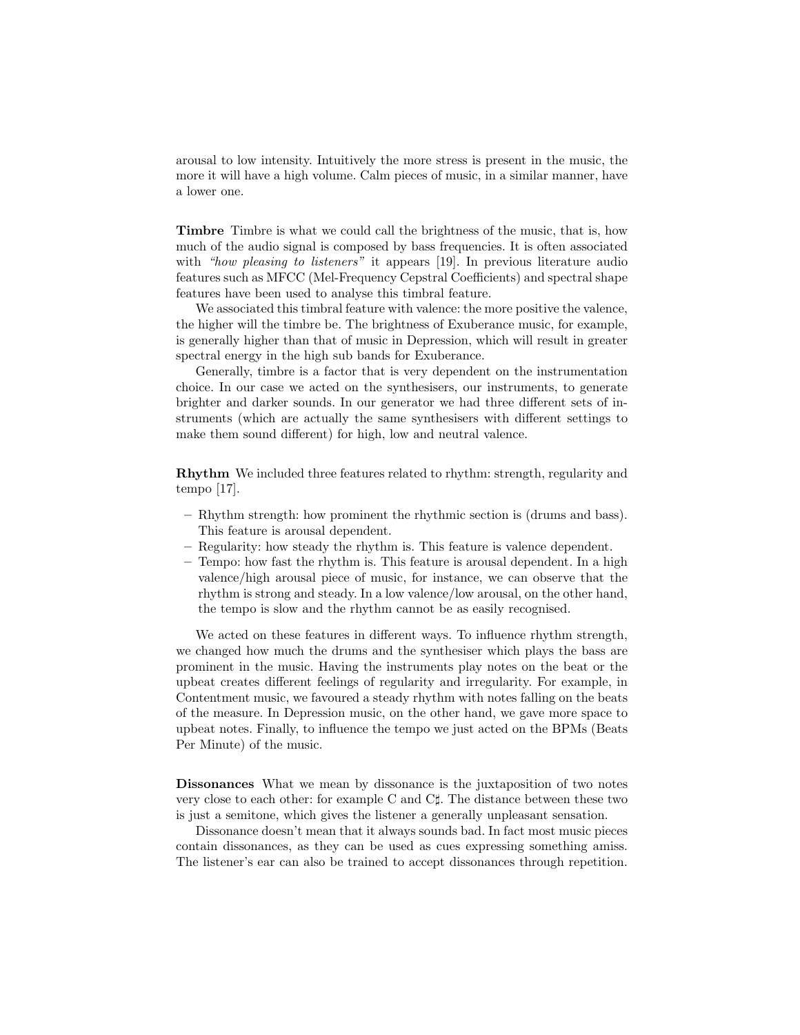arousal to low intensity. Intuitively the more stress is present in the music, the more it will have a high volume. Calm pieces of music, in a similar manner, have a lower one.

Timbre Timbre is what we could call the brightness of the music, that is, how much of the audio signal is composed by bass frequencies. It is often associated with "how pleasing to listeners" it appears [19]. In previous literature audio features such as MFCC (Mel-Frequency Cepstral Coefficients) and spectral shape features have been used to analyse this timbral feature.

We associated this timbral feature with valence: the more positive the valence, the higher will the timbre be. The brightness of Exuberance music, for example, is generally higher than that of music in Depression, which will result in greater spectral energy in the high sub bands for Exuberance.

Generally, timbre is a factor that is very dependent on the instrumentation choice. In our case we acted on the synthesisers, our instruments, to generate brighter and darker sounds. In our generator we had three different sets of instruments (which are actually the same synthesisers with different settings to make them sound different) for high, low and neutral valence.

Rhythm We included three features related to rhythm: strength, regularity and tempo [17].

- Rhythm strength: how prominent the rhythmic section is (drums and bass). This feature is arousal dependent.
- Regularity: how steady the rhythm is. This feature is valence dependent.
- Tempo: how fast the rhythm is. This feature is arousal dependent. In a high valence/high arousal piece of music, for instance, we can observe that the rhythm is strong and steady. In a low valence/low arousal, on the other hand, the tempo is slow and the rhythm cannot be as easily recognised.

We acted on these features in different ways. To influence rhythm strength, we changed how much the drums and the synthesiser which plays the bass are prominent in the music. Having the instruments play notes on the beat or the upbeat creates different feelings of regularity and irregularity. For example, in Contentment music, we favoured a steady rhythm with notes falling on the beats of the measure. In Depression music, on the other hand, we gave more space to upbeat notes. Finally, to influence the tempo we just acted on the BPMs (Beats Per Minute) of the music.

Dissonances What we mean by dissonance is the juxtaposition of two notes very close to each other: for example C and  $C\sharp$ . The distance between these two is just a semitone, which gives the listener a generally unpleasant sensation.

Dissonance doesn't mean that it always sounds bad. In fact most music pieces contain dissonances, as they can be used as cues expressing something amiss. The listener's ear can also be trained to accept dissonances through repetition.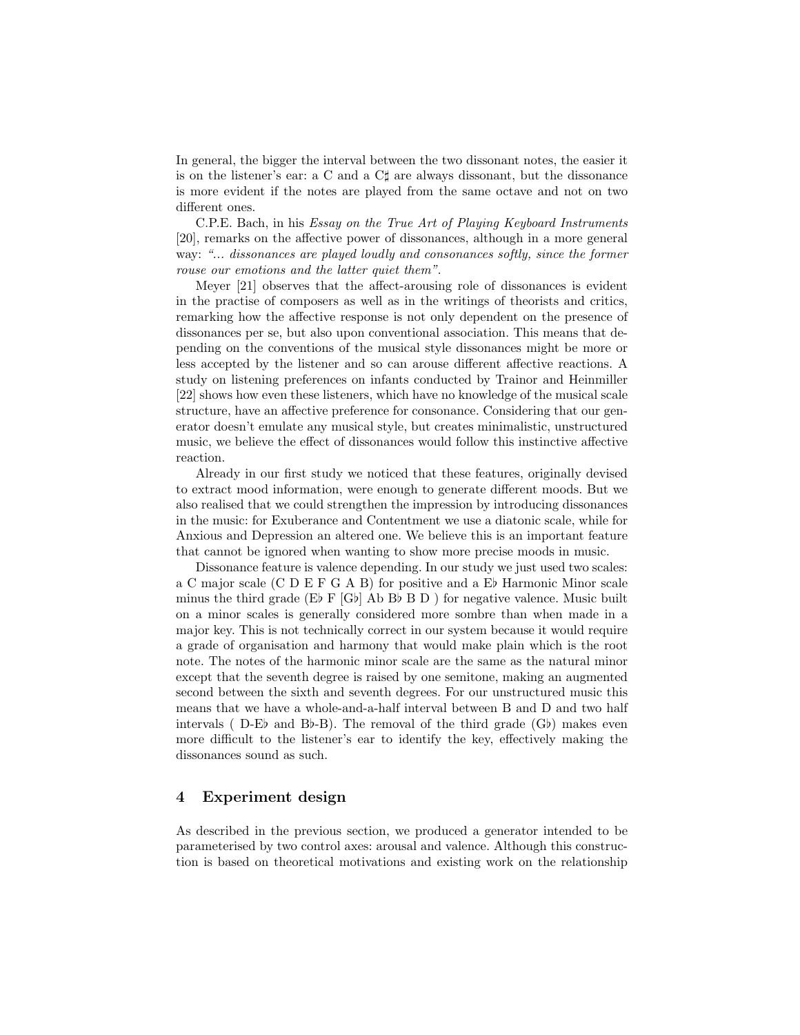In general, the bigger the interval between the two dissonant notes, the easier it is on the listener's ear: a C and a  $C\sharp$  are always dissonant, but the dissonance is more evident if the notes are played from the same octave and not on two different ones.

C.P.E. Bach, in his Essay on the True Art of Playing Keyboard Instruments [20], remarks on the affective power of dissonances, although in a more general way: "... dissonances are played loudly and consonances softly, since the former rouse our emotions and the latter quiet them".

Meyer [21] observes that the affect-arousing role of dissonances is evident in the practise of composers as well as in the writings of theorists and critics, remarking how the affective response is not only dependent on the presence of dissonances per se, but also upon conventional association. This means that depending on the conventions of the musical style dissonances might be more or less accepted by the listener and so can arouse different affective reactions. A study on listening preferences on infants conducted by Trainor and Heinmiller [22] shows how even these listeners, which have no knowledge of the musical scale structure, have an affective preference for consonance. Considering that our generator doesn't emulate any musical style, but creates minimalistic, unstructured music, we believe the effect of dissonances would follow this instinctive affective reaction.

Already in our first study we noticed that these features, originally devised to extract mood information, were enough to generate different moods. But we also realised that we could strengthen the impression by introducing dissonances in the music: for Exuberance and Contentment we use a diatonic scale, while for Anxious and Depression an altered one. We believe this is an important feature that cannot be ignored when wanting to show more precise moods in music.

Dissonance feature is valence depending. In our study we just used two scales: a C major scale (C D E F G A B) for positive and a  $E\flat$  Harmonic Minor scale minus the third grade (Eb F  $[Gb]$  Ab B<sub>b</sub> B D) for negative valence. Music built on a minor scales is generally considered more sombre than when made in a major key. This is not technically correct in our system because it would require a grade of organisation and harmony that would make plain which is the root note. The notes of the harmonic minor scale are the same as the natural minor except that the seventh degree is raised by one semitone, making an augmented second between the sixth and seventh degrees. For our unstructured music this means that we have a whole-and-a-half interval between B and D and two half intervals (  $D-Eb$  and  $Bb-B$ ). The removal of the third grade  $(Gb)$  makes even more difficult to the listener's ear to identify the key, effectively making the dissonances sound as such.

# 4 Experiment design

As described in the previous section, we produced a generator intended to be parameterised by two control axes: arousal and valence. Although this construction is based on theoretical motivations and existing work on the relationship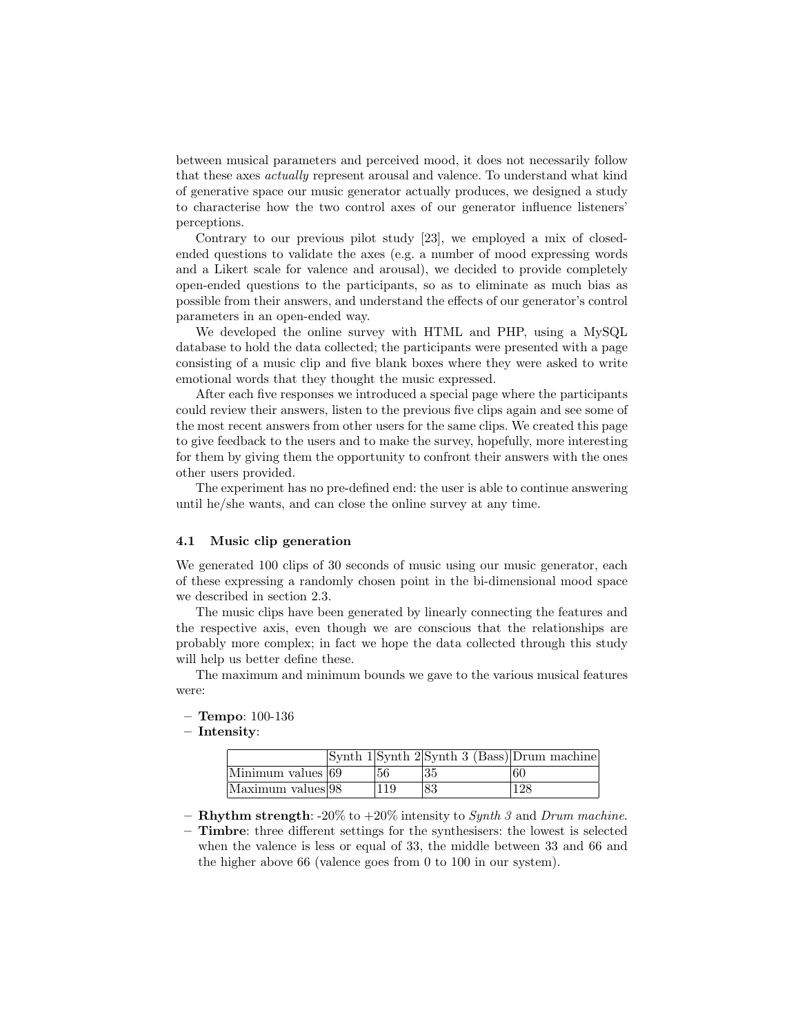between musical parameters and perceived mood, it does not necessarily follow that these axes actually represent arousal and valence. To understand what kind of generative space our music generator actually produces, we designed a study to characterise how the two control axes of our generator influence listeners' perceptions.

Contrary to our previous pilot study [23], we employed a mix of closedended questions to validate the axes (e.g. a number of mood expressing words and a Likert scale for valence and arousal), we decided to provide completely open-ended questions to the participants, so as to eliminate as much bias as possible from their answers, and understand the effects of our generator's control parameters in an open-ended way.

We developed the online survey with HTML and PHP, using a MySQL database to hold the data collected; the participants were presented with a page consisting of a music clip and five blank boxes where they were asked to write emotional words that they thought the music expressed.

After each five responses we introduced a special page where the participants could review their answers, listen to the previous five clips again and see some of the most recent answers from other users for the same clips. We created this page to give feedback to the users and to make the survey, hopefully, more interesting for them by giving them the opportunity to confront their answers with the ones other users provided.

The experiment has no pre-defined end: the user is able to continue answering until he/she wants, and can close the online survey at any time.

#### 4.1 Music clip generation

We generated 100 clips of 30 seconds of music using our music generator, each of these expressing a randomly chosen point in the bi-dimensional mood space we described in section 2.3.

The music clips have been generated by linearly connecting the features and the respective axis, even though we are conscious that the relationships are probably more complex; in fact we hope the data collected through this study will help us better define these.

The maximum and minimum bounds we gave to the various musical features were:

- $-$  Tempo: 100-136
- Intensity:

|                   |    | $\text{Synth 1}$ Synth 2 Synth 3 (Bass) Drum machine |     |
|-------------------|----|------------------------------------------------------|-----|
| Minimum values 69 | 56 | 35                                                   | 60  |
| Maximum values 98 |    | 83                                                   | 128 |

- Rhythm strength: -20% to  $+20\%$  intensity to *Synth 3* and *Drum machine*.
- Timbre: three different settings for the synthesisers: the lowest is selected when the valence is less or equal of 33, the middle between 33 and 66 and the higher above 66 (valence goes from 0 to 100 in our system).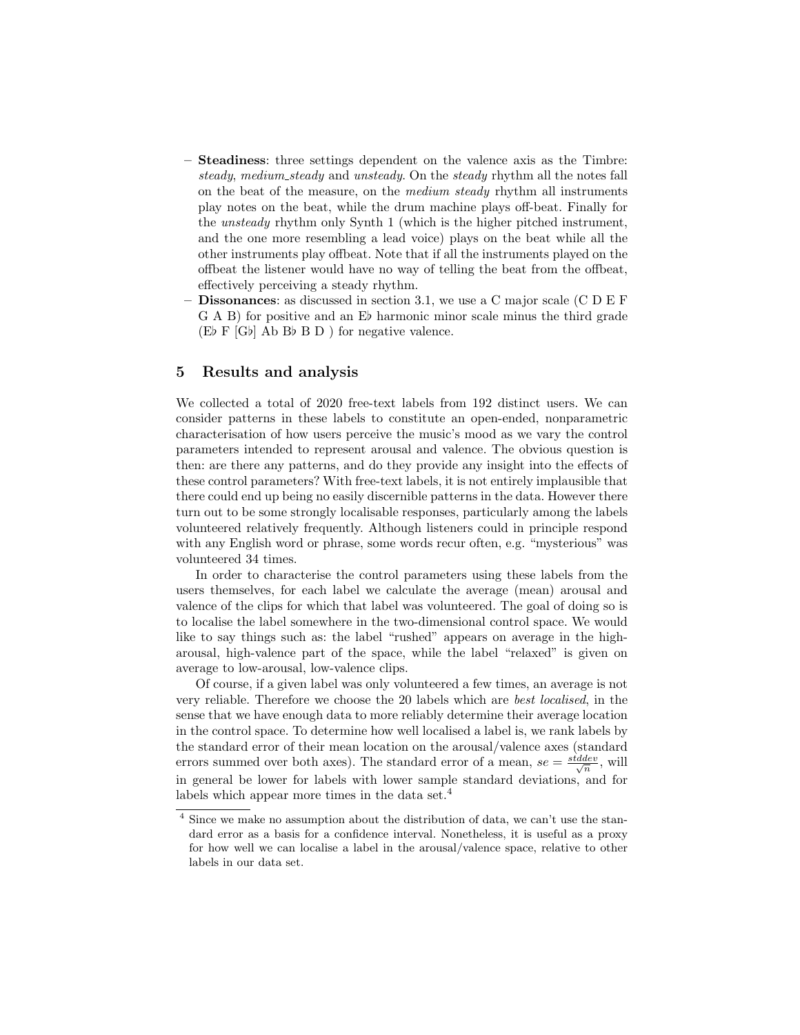- Steadiness: three settings dependent on the valence axis as the Timbre: steady, medium\_steady and unsteady. On the steady rhythm all the notes fall on the beat of the measure, on the medium steady rhythm all instruments play notes on the beat, while the drum machine plays off-beat. Finally for the unsteady rhythm only Synth 1 (which is the higher pitched instrument, and the one more resembling a lead voice) plays on the beat while all the other instruments play offbeat. Note that if all the instruments played on the offbeat the listener would have no way of telling the beat from the offbeat, effectively perceiving a steady rhythm.
- **Dissonances:** as discussed in section 3.1, we use a C major scale (C D E F G A B) for positive and an Eb harmonic minor scale minus the third grade  $(E\flat F [G\flat] Ab B\flat B D)$  for negative valence.

#### 5 Results and analysis

We collected a total of 2020 free-text labels from 192 distinct users. We can consider patterns in these labels to constitute an open-ended, nonparametric characterisation of how users perceive the music's mood as we vary the control parameters intended to represent arousal and valence. The obvious question is then: are there any patterns, and do they provide any insight into the effects of these control parameters? With free-text labels, it is not entirely implausible that there could end up being no easily discernible patterns in the data. However there turn out to be some strongly localisable responses, particularly among the labels volunteered relatively frequently. Although listeners could in principle respond with any English word or phrase, some words recur often, e.g. "mysterious" was volunteered 34 times.

In order to characterise the control parameters using these labels from the users themselves, for each label we calculate the average (mean) arousal and valence of the clips for which that label was volunteered. The goal of doing so is to localise the label somewhere in the two-dimensional control space. We would like to say things such as: the label "rushed" appears on average in the higharousal, high-valence part of the space, while the label "relaxed" is given on average to low-arousal, low-valence clips.

Of course, if a given label was only volunteered a few times, an average is not very reliable. Therefore we choose the 20 labels which are best localised, in the sense that we have enough data to more reliably determine their average location in the control space. To determine how well localised a label is, we rank labels by the standard error of their mean location on the arousal/valence axes (standard errors summed over both axes). The standard error of a mean,  $se = \frac{stddev}{\sqrt{n}}$ , will in general be lower for labels with lower sample standard deviations, and for labels which appear more times in the data set.<sup>4</sup>

<sup>4</sup> Since we make no assumption about the distribution of data, we can't use the standard error as a basis for a confidence interval. Nonetheless, it is useful as a proxy for how well we can localise a label in the arousal/valence space, relative to other labels in our data set.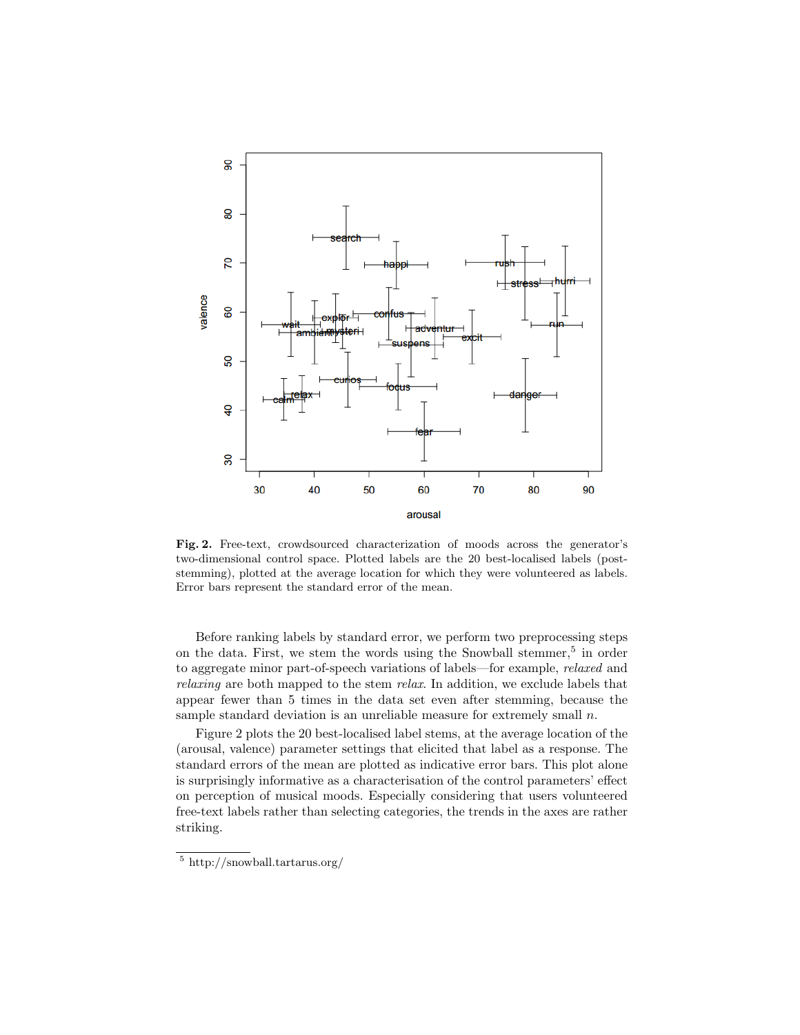

Fig. 2. Free-text, crowdsourced characterization of moods across the generator's two-dimensional control space. Plotted labels are the 20 best-localised labels (poststemming), plotted at the average location for which they were volunteered as labels. Error bars represent the standard error of the mean.

Before ranking labels by standard error, we perform two preprocessing steps on the data. First, we stem the words using the Snowball stemmer,<sup>5</sup> in order to aggregate minor part-of-speech variations of labels—for example, relaxed and relaxing are both mapped to the stem relax. In addition, we exclude labels that appear fewer than 5 times in the data set even after stemming, because the sample standard deviation is an unreliable measure for extremely small  $n$ .

Figure 2 plots the 20 best-localised label stems, at the average location of the (arousal, valence) parameter settings that elicited that label as a response. The standard errors of the mean are plotted as indicative error bars. This plot alone is surprisingly informative as a characterisation of the control parameters' effect on perception of musical moods. Especially considering that users volunteered free-text labels rather than selecting categories, the trends in the axes are rather striking.

<sup>5</sup> http://snowball.tartarus.org/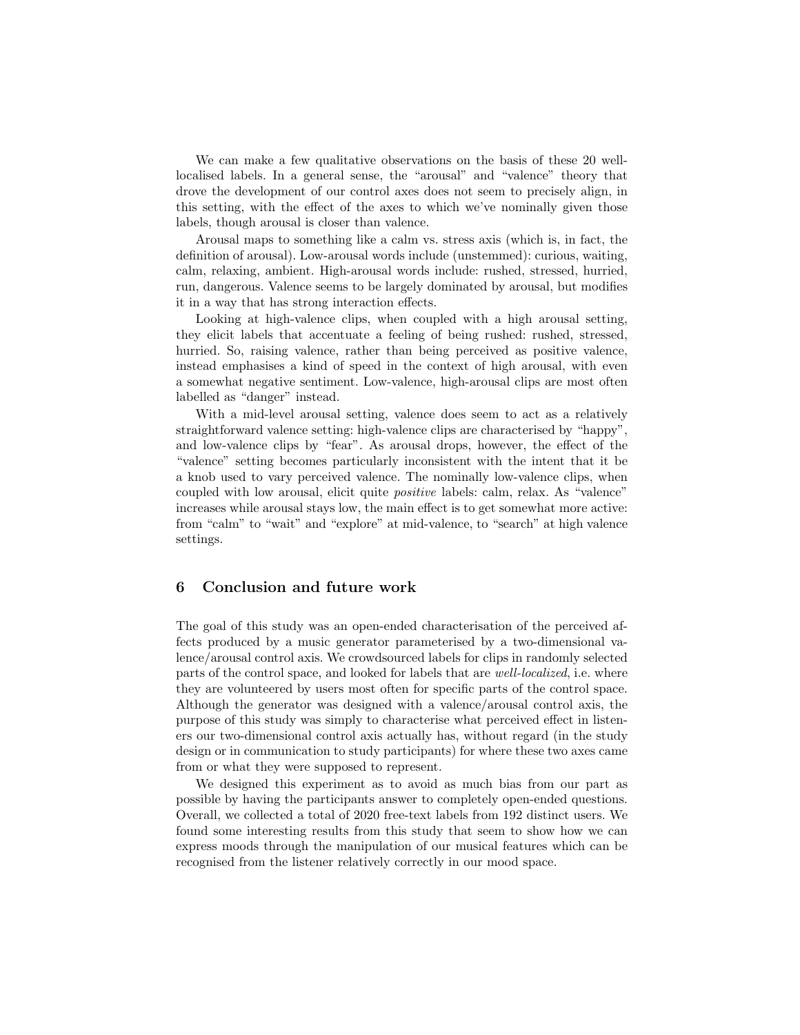We can make a few qualitative observations on the basis of these 20 welllocalised labels. In a general sense, the "arousal" and "valence" theory that drove the development of our control axes does not seem to precisely align, in this setting, with the effect of the axes to which we've nominally given those labels, though arousal is closer than valence.

Arousal maps to something like a calm vs. stress axis (which is, in fact, the definition of arousal). Low-arousal words include (unstemmed): curious, waiting, calm, relaxing, ambient. High-arousal words include: rushed, stressed, hurried, run, dangerous. Valence seems to be largely dominated by arousal, but modifies it in a way that has strong interaction effects.

Looking at high-valence clips, when coupled with a high arousal setting, they elicit labels that accentuate a feeling of being rushed: rushed, stressed, hurried. So, raising valence, rather than being perceived as positive valence, instead emphasises a kind of speed in the context of high arousal, with even a somewhat negative sentiment. Low-valence, high-arousal clips are most often labelled as "danger" instead.

With a mid-level arousal setting, valence does seem to act as a relatively straightforward valence setting: high-valence clips are characterised by "happy", and low-valence clips by "fear". As arousal drops, however, the effect of the "valence" setting becomes particularly inconsistent with the intent that it be a knob used to vary perceived valence. The nominally low-valence clips, when coupled with low arousal, elicit quite positive labels: calm, relax. As "valence" increases while arousal stays low, the main effect is to get somewhat more active: from "calm" to "wait" and "explore" at mid-valence, to "search" at high valence settings.

#### 6 Conclusion and future work

The goal of this study was an open-ended characterisation of the perceived affects produced by a music generator parameterised by a two-dimensional valence/arousal control axis. We crowdsourced labels for clips in randomly selected parts of the control space, and looked for labels that are well-localized, i.e. where they are volunteered by users most often for specific parts of the control space. Although the generator was designed with a valence/arousal control axis, the purpose of this study was simply to characterise what perceived effect in listeners our two-dimensional control axis actually has, without regard (in the study design or in communication to study participants) for where these two axes came from or what they were supposed to represent.

We designed this experiment as to avoid as much bias from our part as possible by having the participants answer to completely open-ended questions. Overall, we collected a total of 2020 free-text labels from 192 distinct users. We found some interesting results from this study that seem to show how we can express moods through the manipulation of our musical features which can be recognised from the listener relatively correctly in our mood space.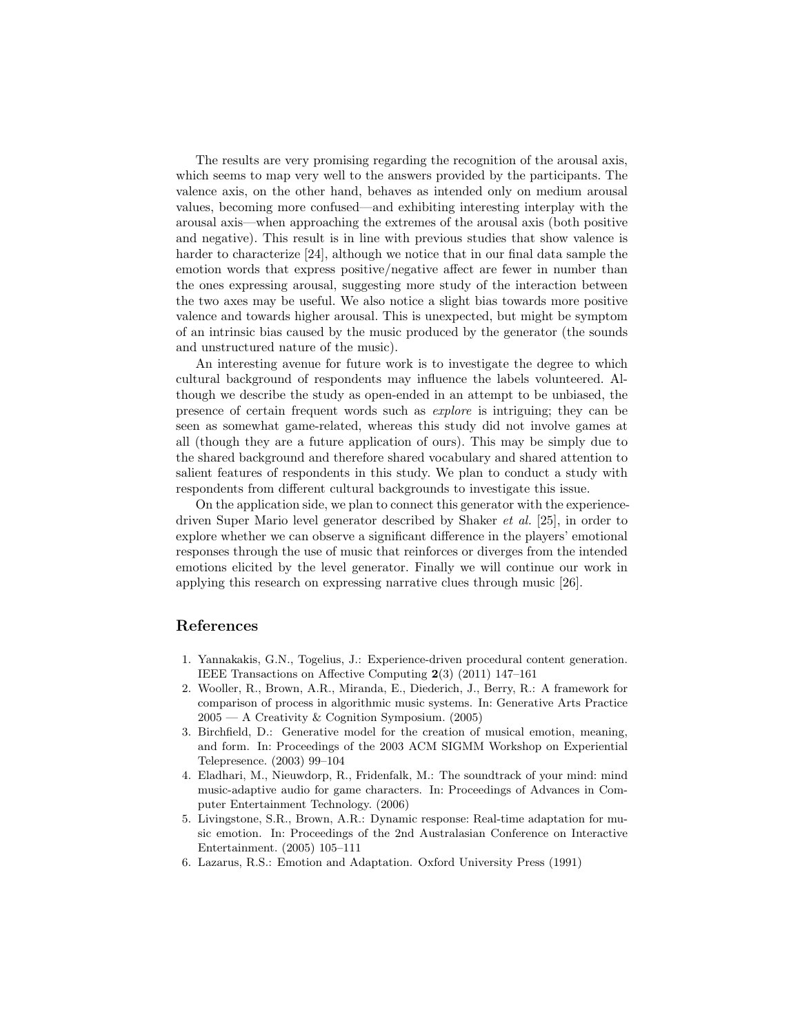The results are very promising regarding the recognition of the arousal axis, which seems to map very well to the answers provided by the participants. The valence axis, on the other hand, behaves as intended only on medium arousal values, becoming more confused—and exhibiting interesting interplay with the arousal axis—when approaching the extremes of the arousal axis (both positive and negative). This result is in line with previous studies that show valence is harder to characterize [24], although we notice that in our final data sample the emotion words that express positive/negative affect are fewer in number than the ones expressing arousal, suggesting more study of the interaction between the two axes may be useful. We also notice a slight bias towards more positive valence and towards higher arousal. This is unexpected, but might be symptom of an intrinsic bias caused by the music produced by the generator (the sounds and unstructured nature of the music).

An interesting avenue for future work is to investigate the degree to which cultural background of respondents may influence the labels volunteered. Although we describe the study as open-ended in an attempt to be unbiased, the presence of certain frequent words such as explore is intriguing; they can be seen as somewhat game-related, whereas this study did not involve games at all (though they are a future application of ours). This may be simply due to the shared background and therefore shared vocabulary and shared attention to salient features of respondents in this study. We plan to conduct a study with respondents from different cultural backgrounds to investigate this issue.

On the application side, we plan to connect this generator with the experiencedriven Super Mario level generator described by Shaker et al. [25], in order to explore whether we can observe a significant difference in the players' emotional responses through the use of music that reinforces or diverges from the intended emotions elicited by the level generator. Finally we will continue our work in applying this research on expressing narrative clues through music [26].

### References

- 1. Yannakakis, G.N., Togelius, J.: Experience-driven procedural content generation. IEEE Transactions on Affective Computing 2(3) (2011) 147–161
- 2. Wooller, R., Brown, A.R., Miranda, E., Diederich, J., Berry, R.: A framework for comparison of process in algorithmic music systems. In: Generative Arts Practice 2005 — A Creativity & Cognition Symposium. (2005)
- 3. Birchfield, D.: Generative model for the creation of musical emotion, meaning, and form. In: Proceedings of the 2003 ACM SIGMM Workshop on Experiential Telepresence. (2003) 99–104
- 4. Eladhari, M., Nieuwdorp, R., Fridenfalk, M.: The soundtrack of your mind: mind music-adaptive audio for game characters. In: Proceedings of Advances in Computer Entertainment Technology. (2006)
- 5. Livingstone, S.R., Brown, A.R.: Dynamic response: Real-time adaptation for music emotion. In: Proceedings of the 2nd Australasian Conference on Interactive Entertainment. (2005) 105–111
- 6. Lazarus, R.S.: Emotion and Adaptation. Oxford University Press (1991)